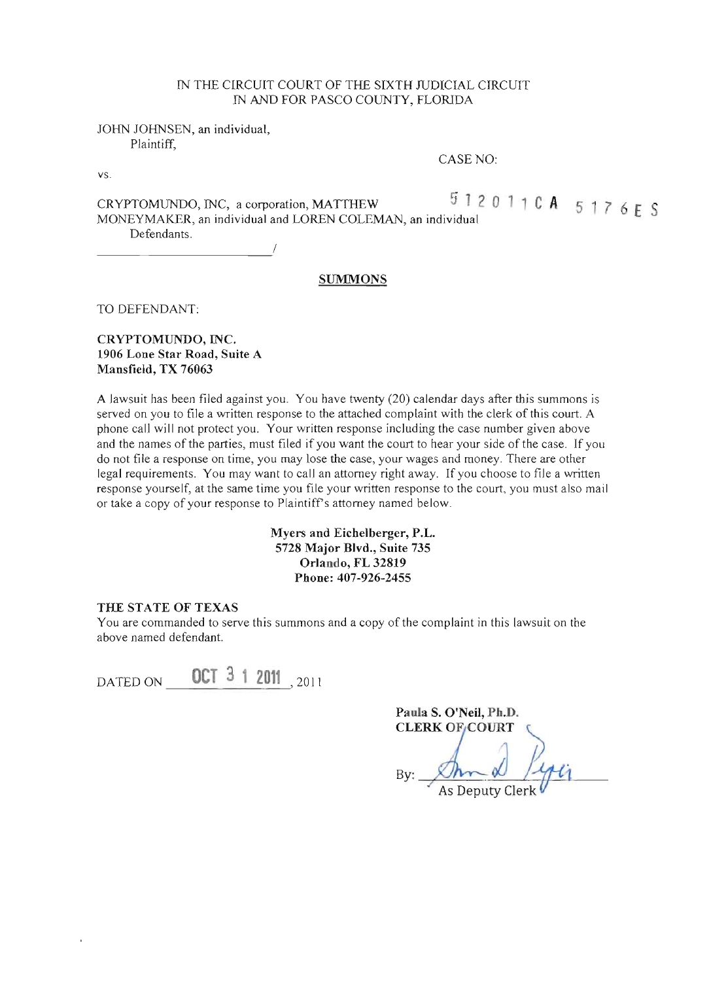#### IN THE CIRCUIT COURT OF THE SIXTH JUDICIAL CIRCUIT IN AND FOR PASCO COUNTY, FLORlDA

JOHN JOHNSEN, an individual, Plaintiff,

CASE NO:

CRYPTOMUNDO, INC, a corporation, MATTHEW  $\begin{array}{c} 5 \ 1 \ 2 \ 0 \ 1 \ 1 \ 0 \ A \ 5 \ 1 \ 7 \ 6 \ E \ S \end{array}$ <br>MONEYMAKER, an individual and LOREN COLEMAN, an individual Defendants. Detendants.

#### **SUMMONS**

TO DEFENDANT:

#### CRYPTOMUNDO, INC. 1906 Lone Star Road, Suite A Mansfield, TX 76063

A lawsuit has been filed against you. You have twenty (20) calendar days after this summons is served on you to file a written response to the attached complaint with the clerk of this court. A phone call will not protect you. Your written response including the case number given above and the names of the parties, must filed if you want the court to hear your side of the case. If you do not file a response on time, you may lose the case, your wages and money. There are other legal requirements. You may want to call an attorney right away. If you choose to file a written response yourself, at the same time you file your written response to the court, you must also mail or take a copy of your response to Plaintiffs attorney named below.

#### Myers and Eichelberger, P.L. 5728 Major Blvd., Suite 735 Orlando, FL 32819 Phone: 407-926-2455

#### THE STATE OF TEXAS

You are commanded to serve this summons and a copy of the complaint in this lawsuit on the above named defendant.

DATED ON 0CT 3 1 2011<sub>2011</sub>

Paula S. O'Neil, Ph.D. **CLERK OF COURT** 

 $\overline{A}$ s Deputy Clerk

vs.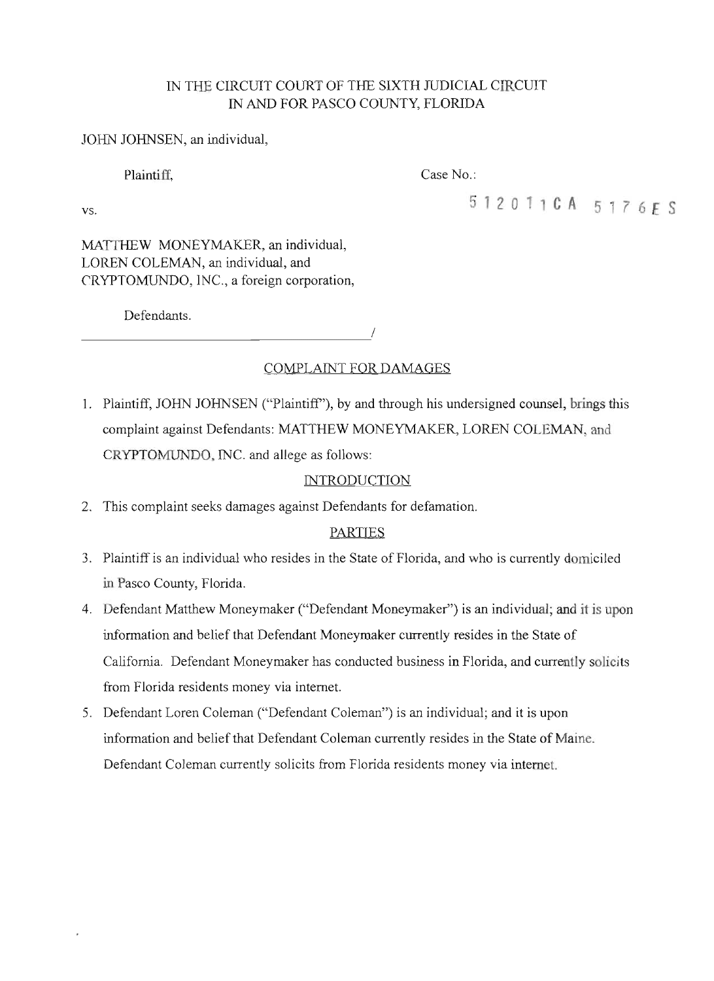# IN THE CIRCUIT COURT OF THE SIXTH JUDICIAL CIRCUIT IN AND FOR PASCO COUNTY, FLORIDA

# JOHN JOHNSEN, an individual,

Plaintiff, Case No.:

vs. **h1201 CA 5176£5**

MATTHEW MONEYMAKER, an individual, LOREN COLEMAN, an individual, and CRYPTOMUNDO, INC., a foreign corporation,

Defendants.

*D*efendants.

# COMPLAINT FOR DAMAGES

1. Plaintiff, JOHN JOHNSEN ("Plaintiff"), by and through his undersigned counsel, brings this complaint against Defendants: MATTHEW MONEYMAKER, LOREN COLEMAN, and CRYPTOMUNDO, INC. and allege as follows:

# **INTRODUCTION**

2. This complaint seeks damages against Defendants for defamation.

# PARTIES

- 3. Plaintiff is an individual who resides in the State of Florida, and who is currently domiciled in Pasco County, Florida.
- 4. Defendant Matthew Moneymaker ("Defendant Moneymaker") is an individual; and it is upon information and belief that Defendant Moneymaker currently resides in the State of California. Defendant Moneymaker has conducted business in Florida, and currently solicits from Florida residents money via internet.
- 5. Defendant Loren Coleman ("Defendant Coleman") is an individual; and it is upon information and belief that Defendant Coleman currently resides in the State of Maine. Defendant Coleman currently solicits from Florida residents money via internet.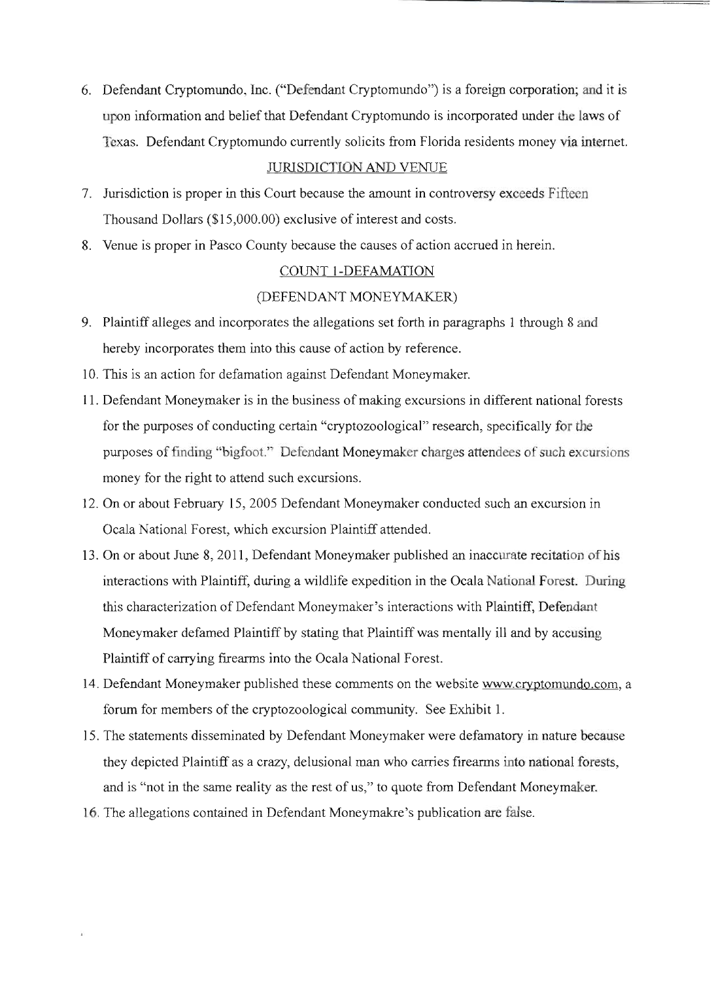6. Defendant Cryptomundo, Inc. ("Defendant Cryptomundo") is a foreign corporation; and it is upon information and belief that Defendant Cryptomundo is incorporated under the laws of Texas. Defendant Cryptomundo currently solicits from Florida residents money via internet.

#### JURISDICTION AND VENUE

- 7. Jurisdiction is proper in this Court because the amount in controversy exceeds Fifteen Thousand Dollars (\$15,000.00) exclusive of interest and costs.
- 8. Venue is proper in Pasco County because the causes of action accrued in herein.

## COUNT I-DEFAMATION

## (DEFENDANT MONEYMAKER)

- 9. Plaintiff alleges and incorporates the allegations set forth in paragraphs 1 through 8 and hereby incorporates them into this cause of action by reference.
- 10. This is an action for defamation against Defendant Moneymaker.
- 11. Defendant Moneymaker is in the business of making excursions in different national forests for the purposes of conducting certain "cryptozoological" research, specifically for the purposes of finding "bigfoot." Defendant Moneymaker charges attendees of such *excursions*  money for the right to attend such excursions.
- 12. On or about February 15,2005 Defendant Moneymaker conducted such an excursion in Ocala National Forest, which excursion Plaintiff attended.
- 13. On or about June 8, 2011, Defendant Moneymaker published an inaccurate recitation of his interactions with Plaintiff, during a wildlife expedition in the Ocala National Forest. During this characterization of Defendant Moneymaker's interactions with Plaintiff, Defendant Moneymaker defamed Plaintiff by stating that Plaintiff was mentally ill and by accusing Plaintiff of carrying firearms into the Ocala National Forest.
- 14. Defendant Moneymaker published these comments on the website www.cryptomundo.com, a forum for members of the cryptozoological community. See Exhibit 1.
- 15. The statements disseminated by Defendant Moneymaker were defamatory in nature because they depicted Plaintiff as a crazy, delusional man who carries firearms into national forests, and is "not in the same reality as the rest of us," to quote from Defendant Moneymaker.
- 16. The allegations contained in Defendant Moneymakre's publication are false.

ï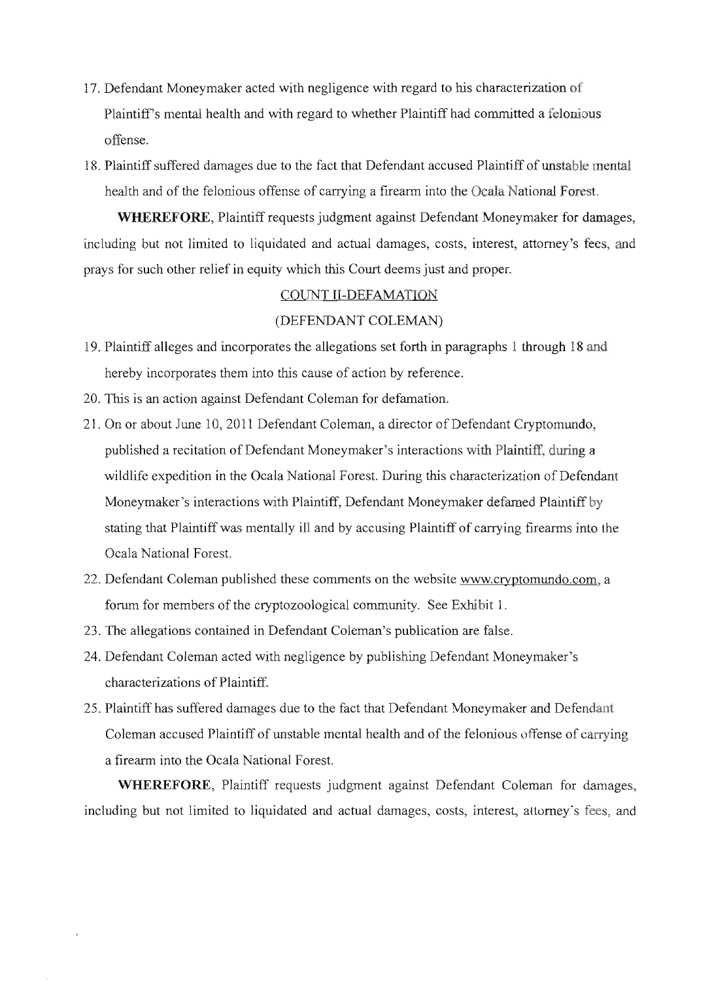- 17. Defendant Moneymaker acted with negligence with regard to his characterization of Plaintiff's mental health and with regard to whether Plaintiff had committed a felonious offense.
- 18. Plaintiff suffered damages due to the fact that Defendant accused Plaintiff of unstable mental health and of the felonious offense of carrying a frrearm into the Ocala National Forest.

**WHEREFORE,** Plaintiff requests judgment against Defendant Moneymaker for damages, including but not limited to liquidated and actual damages, costs, interest, attorney's fees, and prays for such other relief in equity which this Court deems just and proper.

#### COUNT II-DEFAMATION

### (DEFENDANT COLEMAN)

- 19. Plaintiff alleges and incorporates the allegations set forth in paragraphs I through 18 and hereby incorporates them into this cause of action by reference.
- 20. This is an action against Defendant Coleman for defamation.
- 21. On or about June 10, 2011 Defendant Coleman, a director of Defendant Cryptomundo, published a recitation of Defendant Moneymaker's interactions with Plaintiff, during a wildlife expedition in the Ocala National Forest. During this characterization of Defendant Moneymaker's interactions with Plaintiff, Defendant Moneymaker defamed Plaintiff by stating that Plaintiff was mentally ill and by accusing Plaintiff of carrying firearms into the Ocala National Forest.
- 22. Defendant Coleman published these comments on the website www.cryptomundo.com. a forum for members of the cryptozoological community. See Exhibit 1.
- 23. The allegations contained in Defendant Coleman's publication are false.
- 24. Defendant Coleman acted with negligence by publishing Defendant Moneymaker's characterizations of Plaintiff.
- 25. Plaintiff has suffered damages due to the fact that Defendant Moneymaker and Defendant Coleman accused Plaintiff of unstable mental health and of the felonious offense of carrying a firearm into the Ocala National Forest.

**WHEREFORE,** Plaintiff requests judgment against Defendant Coleman for damages, including but not limited to liquidated and actual damages, costs, interest, attorney's fees, and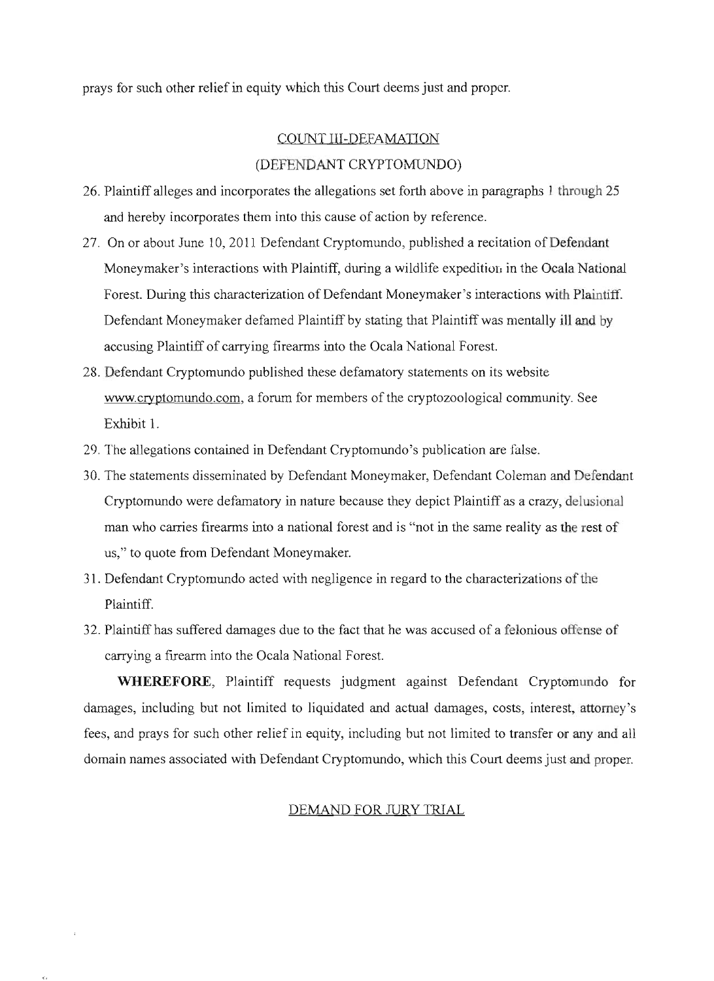prays for such other relief in equity which this Court deems just and proper.

# COUNT III-DEFAMATION (DEFENDANT CRYPTOMUNDO)

- 26. Plaintiff alleges and incorporates the allegations set forth above in paragraphs 1 through 25 and hereby incorporates them into this cause of action by reference.
- 27. On or about June 10, 2011 Defendant Cryptomundo, published a recitation of Defendant Moneymaker's interactions with Plaintiff, during a wildlife expedition in the Ocala National Forest. During this characterization of Defendant Moneymaker's interactions with Plaintiff Defendant Moneymaker defamed Plaintiff by stating that Plaintiff was mentally ill and by accusing Plaintiff of carrying firearms into the Ocala National Forest.
- 28. Defendant Cryptomundo published these defamatory statements on its website www.cryptomundo.com, a forum for members of the cryptozoological community. See Exhibit 1.
- 29. The allegations contained in Defendant Cryptomundo's publication are false.
- 30. The statements disseminated by Defendant Moneymaker, Defendant Coleman and Defendant Cryptomundo were defamatory in nature because they depict Plaintiff as a crazy, delusional man who carries firearms into a national forest and is "not in the same reality as the rest of us," to quote from Defendant Moneymaker.
- 31. Defendant Cryptomundo acted with negligence in regard to the characterizations of the Plaintiff.
- 32. Plaintiff has suffered damages due to the fact that he was accused of a felonious offense of carrying a firearm into the Ocala National Forest.

**WHEREFORE,** Plaintiff requests judgment against Defendant Cryptomundo for damages, including but not limited to liquidated and actual damages, costs, interest, attorney's fees, and prays for such other relief in equity, including but not limited to transfer or any and all domain names associated with Defendant Cryptomundo, which this Court deems just and proper.

#### DEMAND FOR JURY TRIAL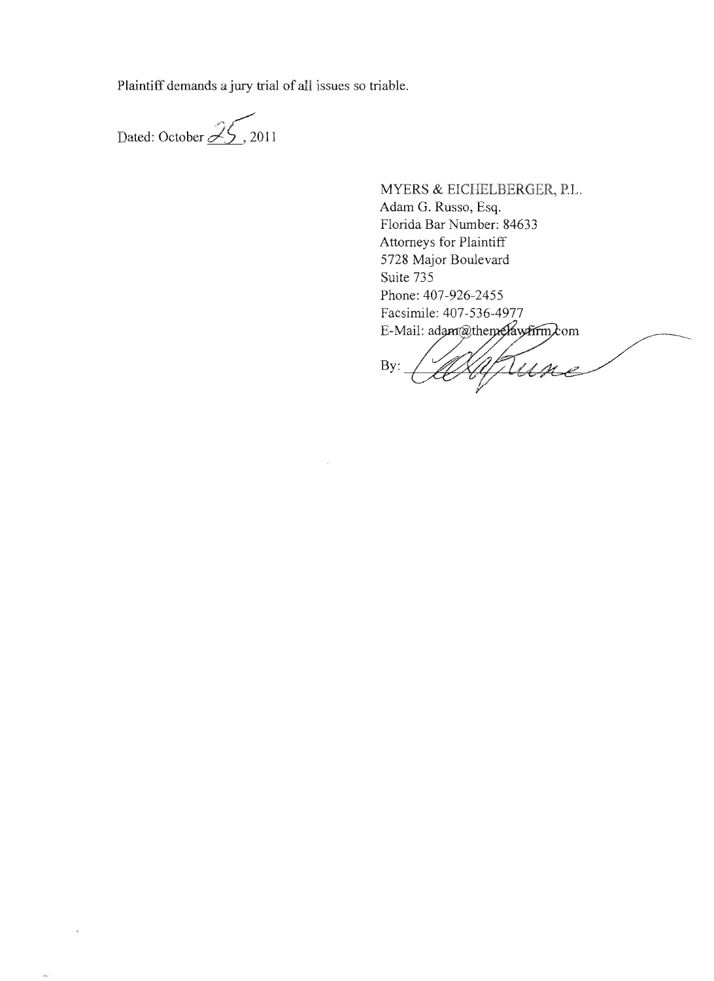Plaintiff demands a jury trial of all issues so triable.

 $\bar{z}$ 

Dated: October  $\cancel{\mathscr{Z}}$  5, 2011

ä

E-Mail: adam@themeAawFirm $\lambda$ MYERS & EICHELBERGER, P.L. Adam G. Russo, Esq. Florida Bar Number: 84633 Attorneys for Plaintiff 5728 Major Boulevard Suite 735 Phone: 407-926-2455 Facsimile: 407-536-4977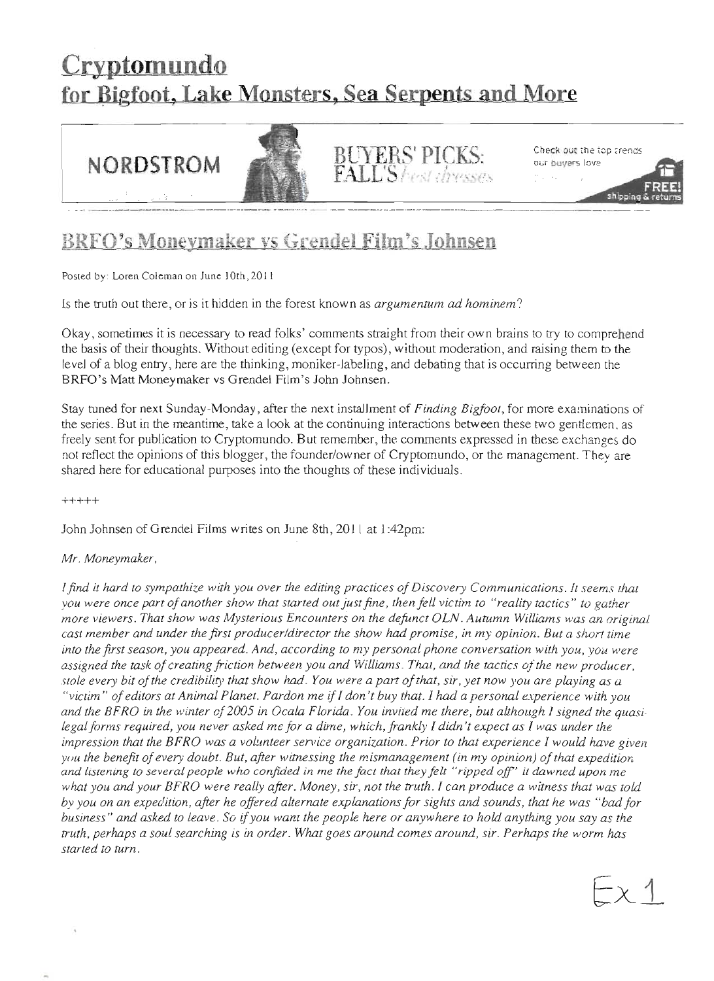# **Cryptomundo** for Bigfoot, Lake Monsters, Sea Serpents and More



# BRFO's Moneymaker vs Grendel Film's Johnsen

Posted by: Loren Coleman on June IOrh,20J I

Is the truth out there, or is it hidden in the forest known as *argumentum ad hominem?* 

Okay, sometimes it is necessary to read folks' comments straight from their own brains to try to comprehend the basis of their thoughts. Without editing (except for typos), without moderation, and raising them to the level of a blog entry, here are the thinking, moniker-labeling, and debating that is occurring between the BRFO's Matt Moneymaker vs Grendel Film's John Johnsen.

Stay tuned for next Sunday-Monday, after the next installment of *Finding Bigfoot,* for more examinations of the series. But in the meantime, take a look at the continuing interactions between these two gentlemen. as freely sent for publication to Cryptomundo. But remember, the comments expressed in these exchanges do not reflect the opinions of this blogger, the founder/owner of Cryptomundo, or the management. They are shared here for educational purposes into the thoughrs of these individuals.

+++++

John Johnsen of Grendel Films writes on June 8th, 201 I at 1:42pm:

#### *Mr. Moneymaker,*

I find it hard to sympathize with you over the editing practices of Discovery Communications. It seems that *you were once part ofanother show that started out justfine* , *then fell victim to "reality tactics" to gather more viewers. That show was Mysterious Encounters on the defunct OLN. Autumn Williams was an original cast member and under the first producer/director the show had promise, in my opinion. But a short time into the first season, you appeared. And, according to my personal phone conversation with you, you were*  assigned the task of creating friction between you and Williams. That, and the tactics of the new producer, *stOle every bit ofthe credibility that show had. You were a part ofthat, sir, yet now you are playing as a "vicrim" ofeditors at Animal Planet. Pardon me* if J*don't buy that.!* had *a personal experience with you and the BFRO in the winter of2005 in Ocala Florida. You invited me there, but although I signed the quasi· LegaL forms required, you never asked me for a dime, which, frankly I didn't expect as I was under the impression that the BFRO was a volunteer service organization. Prior to that experience! would have given you the benefit ofevery doubt. But, after wimessing the mismanagement (in my opinion) ofthat expeditiori and listening to several people who confided in me the fact that they felt "ripped Off" it dawned upon me what you and your BFRO were really after. Money, sir, not the truth.* J *can produce a witness that was told by you on an expedition, after he offered alternate explanations for sights and sounds, that he was"bad for business" and asked to Leave. So ifyou want the people here or anywhere to hold anything you say as the truth, perhaps a soul searching is in order. What goes around comes around, sir. Perhaps the worm has started to turn.*